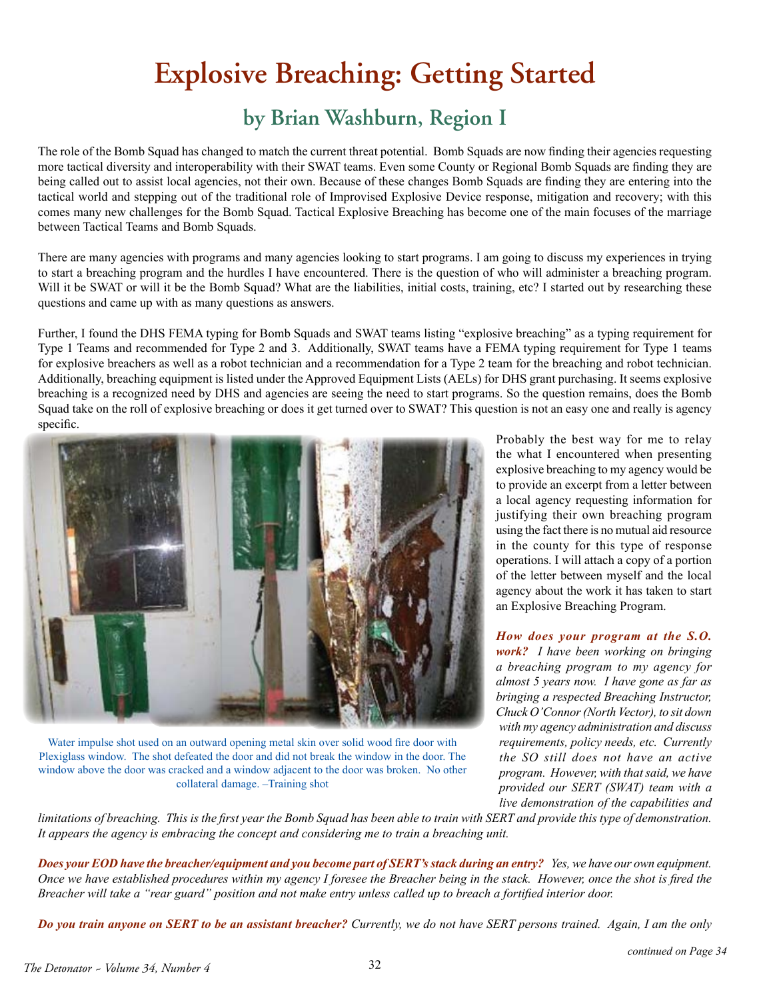## **Explosive Breaching: Getting Started**

## **by Brian Washburn, Region I**

The role of the Bomb Squad has changed to match the current threat potential. Bomb Squads are now finding their agencies requesting more tactical diversity and interoperability with their SWAT teams. Even some County or Regional Bomb Squads are finding they are being called out to assist local agencies, not their own. Because of these changes Bomb Squads are finding they are entering into the tactical world and stepping out of the traditional role of Improvised Explosive Device response, mitigation and recovery; with this comes many new challenges for the Bomb Squad. Tactical Explosive Breaching has become one of the main focuses of the marriage between Tactical Teams and Bomb Squads.

There are many agencies with programs and many agencies looking to start programs. I am going to discuss my experiences in trying to start a breaching program and the hurdles I have encountered. There is the question of who will administer a breaching program. Will it be SWAT or will it be the Bomb Squad? What are the liabilities, initial costs, training, etc? I started out by researching these questions and came up with as many questions as answers.

Further, I found the DHS FEMA typing for Bomb Squads and SWAT teams listing "explosive breaching" as a typing requirement for Type 1 Teams and recommended for Type 2 and 3. Additionally, SWAT teams have a FEMA typing requirement for Type 1 teams for explosive breachers as well as a robot technician and a recommendation for a Type 2 team for the breaching and robot technician. Additionally, breaching equipment is listed under the Approved Equipment Lists (AELs) for DHS grant purchasing. It seems explosive breaching is a recognized need by DHS and agencies are seeing the need to start programs. So the question remains, does the Bomb Squad take on the roll of explosive breaching or does it get turned over to SWAT? This question is not an easy one and really is agency specific.



Water impulse shot used on an outward opening metal skin over solid wood fire door with Plexiglass window. The shot defeated the door and did not break the window in the door. The window above the door was cracked and a window adjacent to the door was broken. No other collateral damage. –Training shot

Probably the best way for me to relay the what I encountered when presenting explosive breaching to my agency would be to provide an excerpt from a letter between a local agency requesting information for justifying their own breaching program using the fact there is no mutual aid resource in the county for this type of response operations. I will attach a copy of a portion of the letter between myself and the local agency about the work it has taken to start an Explosive Breaching Program.

*How does your program at the S.O. work? I have been working on bringing a breaching program to my agency for almost 5 years now. I have gone as far as bringing a respected Breaching Instructor, Chuck O'Connor (North Vector), to sit down with my agency administration and discuss requirements, policy needs, etc. Currently the SO still does not have an active program. However, with that said, we have provided our SERT (SWAT) team with a live demonstration of the capabilities and* 

*limitations of breaching. This is the first year the Bomb Squad has been able to train with SERT and provide this type of demonstration. It appears the agency is embracing the concept and considering me to train a breaching unit.* 

*Does your EOD have the breacher/equipment and you become part of SERT's stack during an entry? <i>Yes, we have our own equipment. Once we have established procedures within my agency I foresee the Breacher being in the stack. However, once the shot is fired the Breacher will take a "rear guard" position and not make entry unless called up to breach a fortified interior door.* 

*Do you train anyone on SERT to be an assistant breacher? Currently, we do not have SERT persons trained. Again, I am the only*